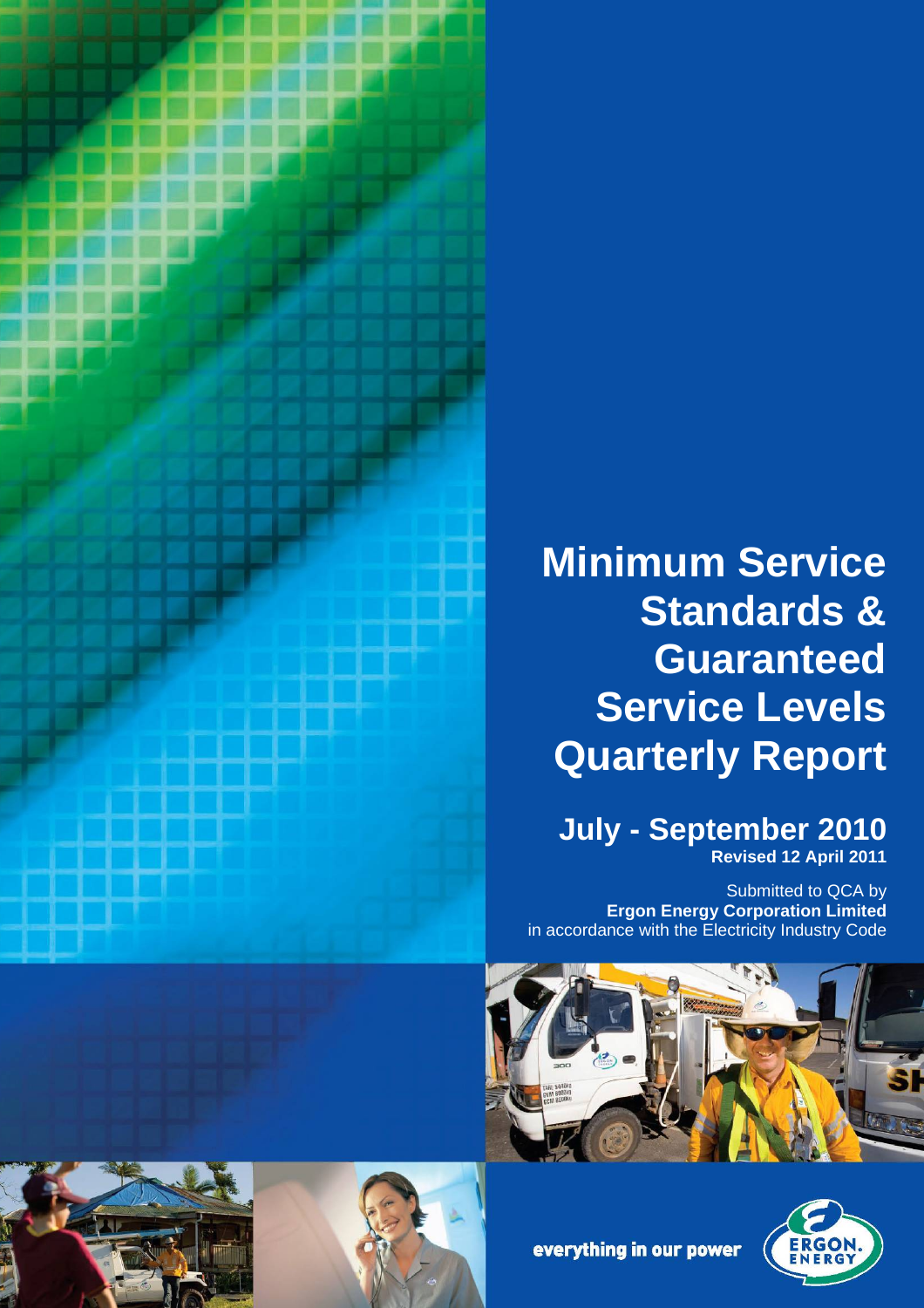

# **Minimum Service Standards & Guaranteed Service Levels Quarterly Report**

# **July - September 2010 Revised 12 April 2011**

Submitted to QCA by **Ergon Energy Corporation Limited** in accordance with the Electricity Industry Code





everything in our power



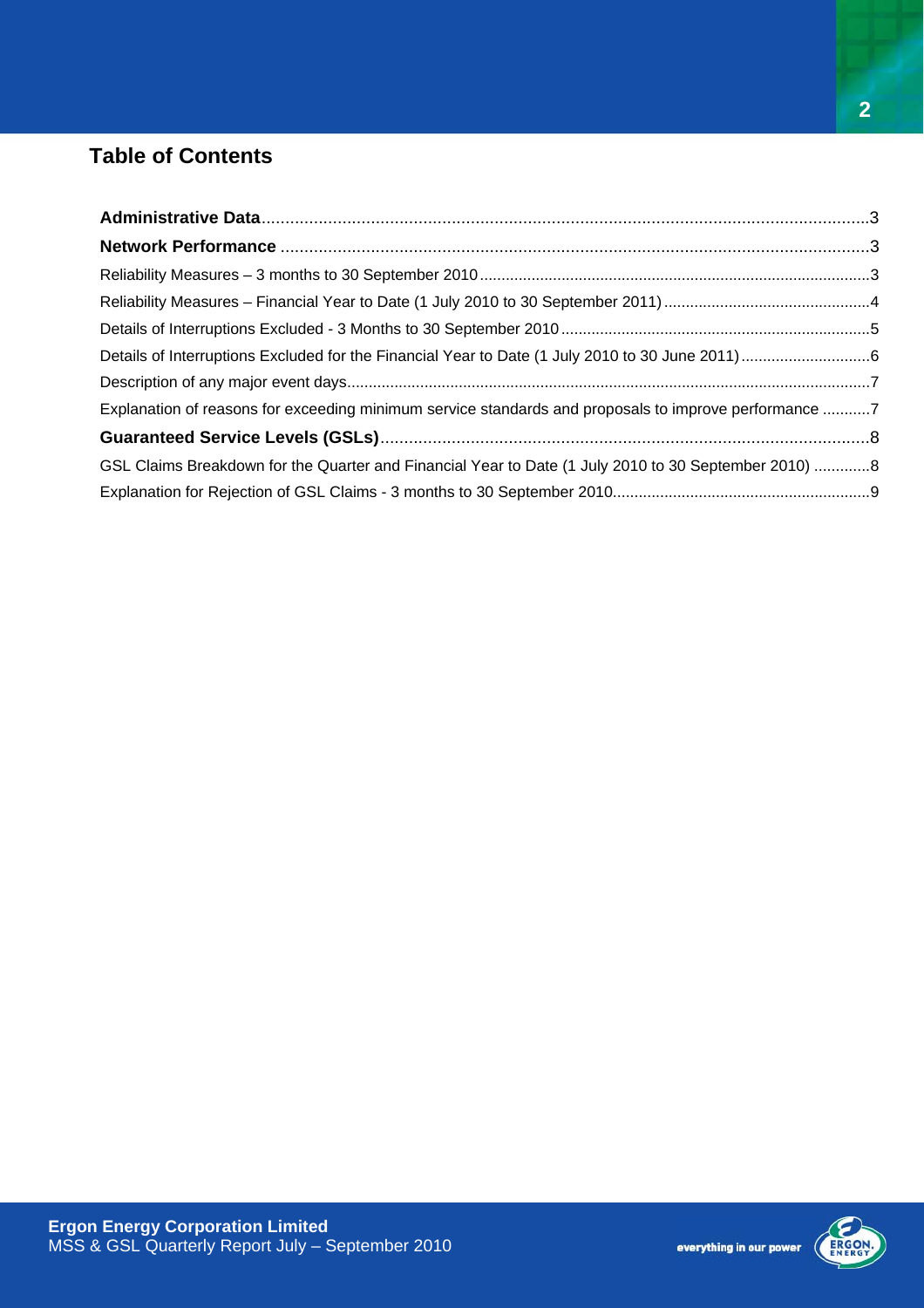# **Table of Contents**

| Explanation of reasons for exceeding minimum service standards and proposals to improve performance 7 |  |
|-------------------------------------------------------------------------------------------------------|--|
|                                                                                                       |  |
| GSL Claims Breakdown for the Quarter and Financial Year to Date (1 July 2010 to 30 September 2010) 8  |  |
|                                                                                                       |  |

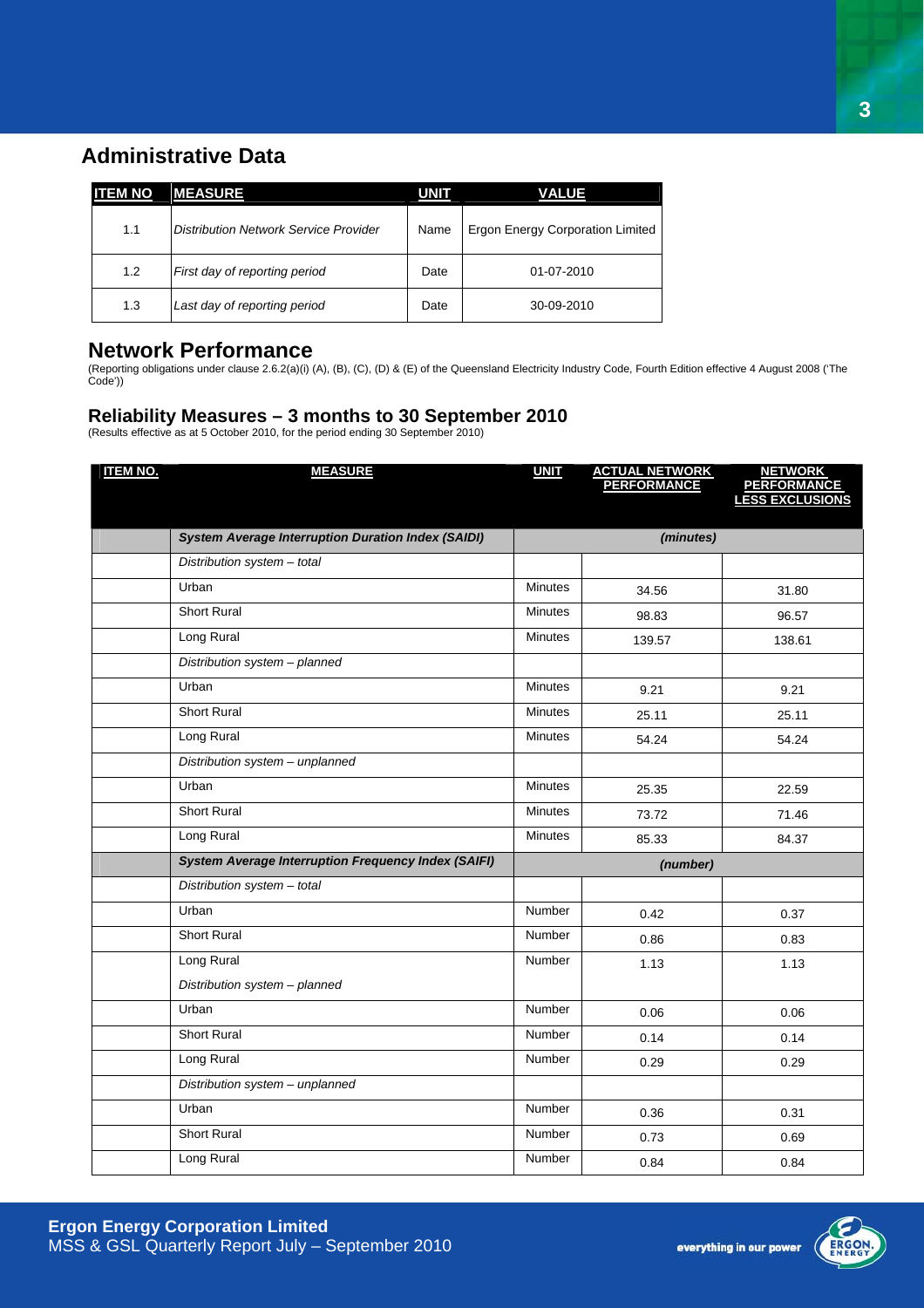## **Administrative Data**

| <b>ITEM NO</b> | <b>MEASURE</b>                               | <b>UNIT</b> | <b>VALUE</b>                            |
|----------------|----------------------------------------------|-------------|-----------------------------------------|
| 1.1            | <b>Distribution Network Service Provider</b> | Name        | <b>Ergon Energy Corporation Limited</b> |
| 1.2            | First day of reporting period                | Date        | 01-07-2010                              |
| 1.3            | Last day of reporting period                 | Date        | 30-09-2010                              |

## **Network Performance**

(Reporting obligations under clause 2.6.2(a)(i) (A), (B), (C), (D) & (E) of the Queensland Electricity Industry Code, Fourth Edition effective 4 August 2008 ('The Code'))

#### **Reliability Measures – 3 months to 30 September 2010**

(Results effective as at 5 October 2010, for the period ending 30 September 2010)

| <b>ITEM NO.</b> | <b>MEASURE</b>                                             | <b>UNIT</b>    | ACTUAL NETWORK<br>PERFORMANCE | <b>NETWORK</b><br><b>PERFORMANCE</b><br>LESS EXCLUSIONS |
|-----------------|------------------------------------------------------------|----------------|-------------------------------|---------------------------------------------------------|
|                 | <b>System Average Interruption Duration Index (SAIDI)</b>  |                | (minutes)                     |                                                         |
|                 | Distribution system - total                                |                |                               |                                                         |
|                 | Urban                                                      | <b>Minutes</b> | 34.56                         | 31.80                                                   |
|                 | <b>Short Rural</b>                                         | <b>Minutes</b> | 98.83                         | 96.57                                                   |
|                 | Long Rural                                                 | <b>Minutes</b> | 139.57                        | 138.61                                                  |
|                 | Distribution system - planned                              |                |                               |                                                         |
|                 | Urban                                                      | <b>Minutes</b> | 9.21                          | 9.21                                                    |
|                 | <b>Short Rural</b>                                         | <b>Minutes</b> | 25.11                         | 25.11                                                   |
|                 | Long Rural                                                 | <b>Minutes</b> | 54.24                         | 54.24                                                   |
|                 | Distribution system - unplanned                            |                |                               |                                                         |
|                 | Urban                                                      | <b>Minutes</b> | 25.35                         | 22.59                                                   |
|                 | <b>Short Rural</b>                                         | <b>Minutes</b> | 73.72                         | 71.46                                                   |
|                 | Long Rural                                                 | <b>Minutes</b> | 85.33                         | 84.37                                                   |
|                 | <b>System Average Interruption Frequency Index (SAIFI)</b> | (number)       |                               |                                                         |
|                 | Distribution system - total                                |                |                               |                                                         |
|                 | Urban                                                      | Number         | 0.42                          | 0.37                                                    |
|                 | <b>Short Rural</b>                                         | <b>Number</b>  | 0.86                          | 0.83                                                    |
|                 | Long Rural                                                 | Number         | 1.13                          | 1.13                                                    |
|                 | Distribution system - planned                              |                |                               |                                                         |
|                 | Urban                                                      | Number         | 0.06                          | 0.06                                                    |
|                 | Short Rural                                                | Number         | 0.14                          | 0.14                                                    |
|                 | Long Rural                                                 | Number         | 0.29                          | 0.29                                                    |
|                 | Distribution system - unplanned                            |                |                               |                                                         |
|                 | Urban                                                      | Number         | 0.36                          | 0.31                                                    |
|                 | <b>Short Rural</b>                                         | Number         | 0.73                          | 0.69                                                    |
|                 | Long Rural                                                 | Number         | 0.84                          | 0.84                                                    |

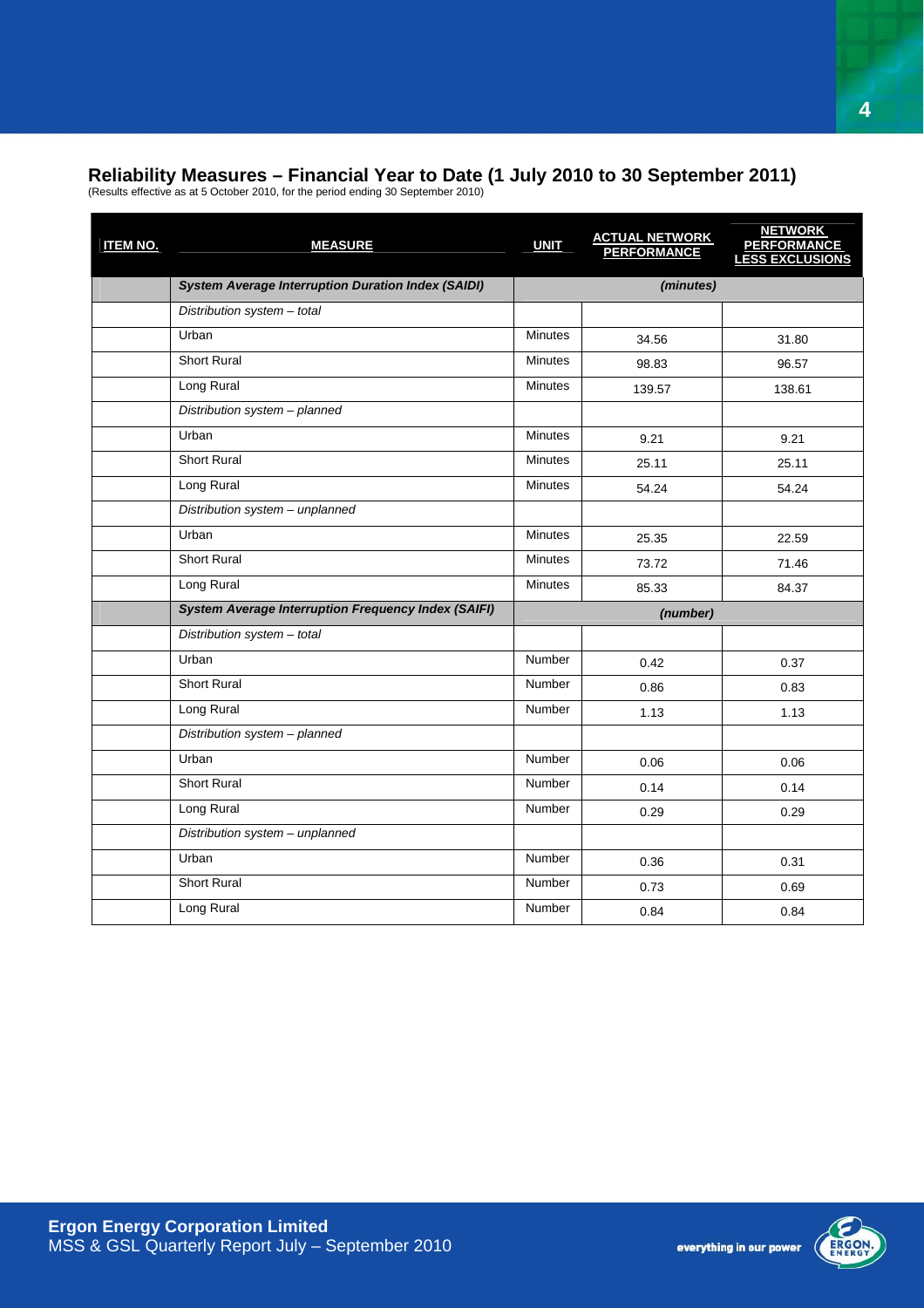## **Reliability Measures – Financial Year to Date (1 July 2010 to 30 September 2011)**

(Results effective as at 5 October 2010, for the period ending 30 September 2010)

| <b>System Average Interruption Duration Index (SAIDI)</b><br>(minutes)<br>Distribution system - total<br>Urban<br><b>Minutes</b><br>31.80<br>34.56<br><b>Short Rural</b><br><b>Minutes</b><br>98.83<br>96.57 |  |
|--------------------------------------------------------------------------------------------------------------------------------------------------------------------------------------------------------------|--|
|                                                                                                                                                                                                              |  |
|                                                                                                                                                                                                              |  |
|                                                                                                                                                                                                              |  |
|                                                                                                                                                                                                              |  |
| Long Rural<br><b>Minutes</b><br>139.57<br>138.61                                                                                                                                                             |  |
| Distribution system - planned                                                                                                                                                                                |  |
| Urban<br><b>Minutes</b><br>9.21<br>9.21                                                                                                                                                                      |  |
| Short Rural<br><b>Minutes</b><br>25.11<br>25.11                                                                                                                                                              |  |
| Long Rural<br><b>Minutes</b><br>54.24<br>54.24                                                                                                                                                               |  |
| Distribution system - unplanned                                                                                                                                                                              |  |
| Urban<br><b>Minutes</b><br>25.35<br>22.59                                                                                                                                                                    |  |
| <b>Short Rural</b><br><b>Minutes</b><br>71.46<br>73.72                                                                                                                                                       |  |
| Long Rural<br><b>Minutes</b><br>85.33<br>84.37                                                                                                                                                               |  |
| <b>System Average Interruption Frequency Index (SAIFI)</b><br>(number)                                                                                                                                       |  |
| Distribution system - total                                                                                                                                                                                  |  |
| Urban<br><b>Number</b><br>0.42<br>0.37                                                                                                                                                                       |  |
| <b>Short Rural</b><br><b>Number</b><br>0.86<br>0.83                                                                                                                                                          |  |
| Long Rural<br>Number<br>1.13<br>1.13                                                                                                                                                                         |  |
| Distribution system - planned                                                                                                                                                                                |  |
| Urban<br><b>Number</b><br>0.06<br>0.06                                                                                                                                                                       |  |
| <b>Short Rural</b><br>Number<br>0.14<br>0.14                                                                                                                                                                 |  |
| Long Rural<br><b>Number</b><br>0.29<br>0.29                                                                                                                                                                  |  |
| Distribution system - unplanned                                                                                                                                                                              |  |
| Urban<br><b>Number</b><br>0.36<br>0.31                                                                                                                                                                       |  |
| Short Rural<br><b>Number</b><br>0.73<br>0.69                                                                                                                                                                 |  |
| Long Rural<br>Number<br>0.84<br>0.84                                                                                                                                                                         |  |

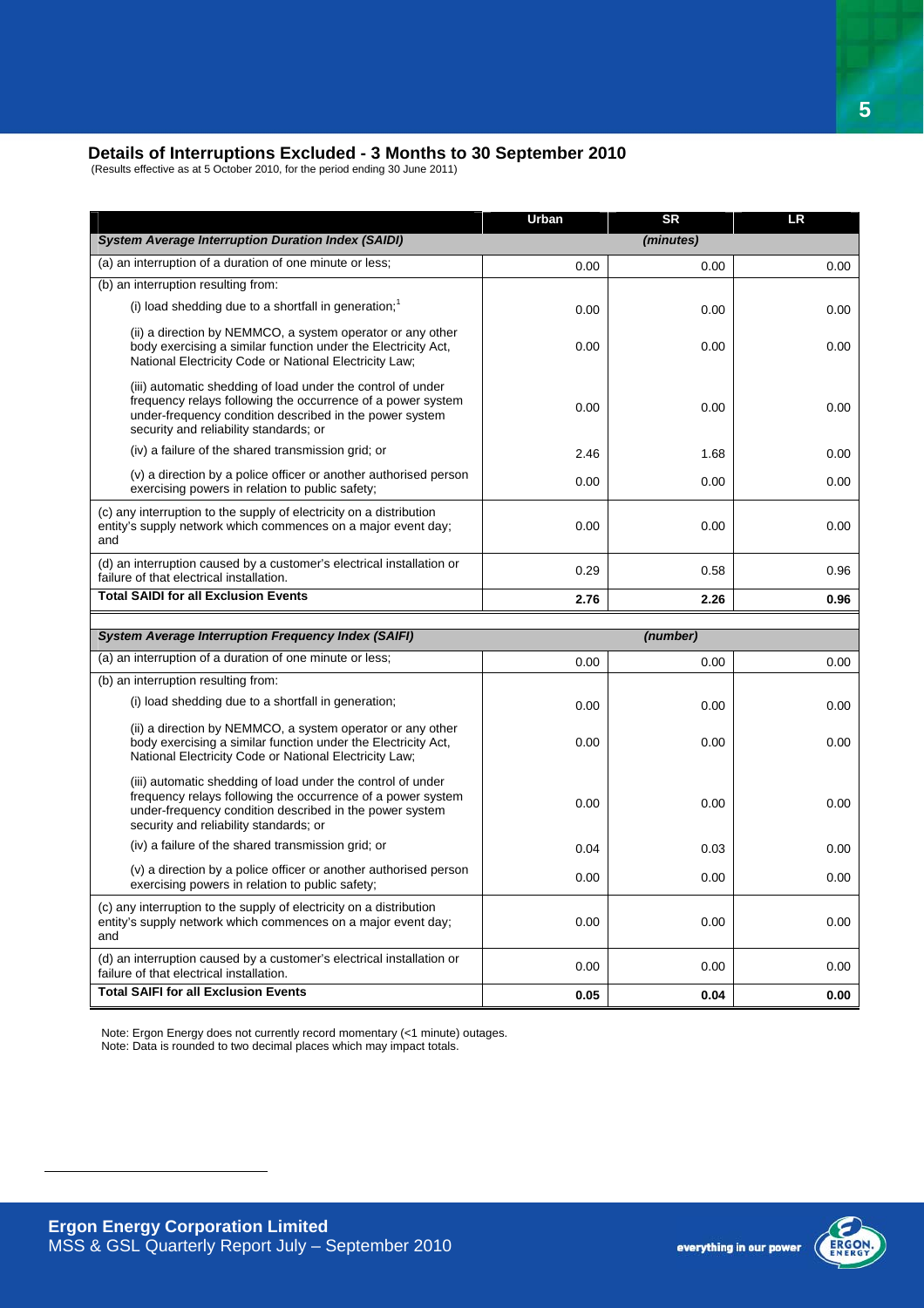#### **Details of Interruptions Excluded - 3 Months to 30 September 2010**

(Results effective as at 5 October 2010, for the period ending 30 June 2011)

|                                                                                                                                                                                                                                 | Urban | <b>SR</b> | <b>LR</b> |
|---------------------------------------------------------------------------------------------------------------------------------------------------------------------------------------------------------------------------------|-------|-----------|-----------|
| (minutes)<br><b>System Average Interruption Duration Index (SAIDI)</b>                                                                                                                                                          |       |           |           |
| (a) an interruption of a duration of one minute or less;                                                                                                                                                                        | 0.00  | 0.00      | 0.00      |
| (b) an interruption resulting from:                                                                                                                                                                                             |       |           |           |
| (i) load shedding due to a shortfall in generation; <sup>1</sup>                                                                                                                                                                | 0.00  | 0.00      | 0.00      |
| (ii) a direction by NEMMCO, a system operator or any other<br>body exercising a similar function under the Electricity Act,<br>National Electricity Code or National Electricity Law;                                           | 0.00  | 0.00      | 0.00      |
| (iii) automatic shedding of load under the control of under<br>frequency relays following the occurrence of a power system<br>under-frequency condition described in the power system<br>security and reliability standards; or | 0.00  | 0.00      | 0.00      |
| (iv) a failure of the shared transmission grid; or                                                                                                                                                                              | 2.46  | 1.68      | 0.00      |
| (v) a direction by a police officer or another authorised person<br>exercising powers in relation to public safety;                                                                                                             | 0.00  | 0.00      | 0.00      |
| (c) any interruption to the supply of electricity on a distribution<br>entity's supply network which commences on a major event day;<br>and                                                                                     | 0.00  | 0.00      | 0.00      |
| (d) an interruption caused by a customer's electrical installation or<br>failure of that electrical installation.                                                                                                               | 0.29  | 0.58      | 0.96      |
| <b>Total SAIDI for all Exclusion Events</b>                                                                                                                                                                                     | 2.76  | 2.26      | 0.96      |
|                                                                                                                                                                                                                                 |       |           |           |
| <b>System Average Interruption Frequency Index (SAIFI)</b>                                                                                                                                                                      |       | (number)  |           |
| (a) an interruption of a duration of one minute or less;                                                                                                                                                                        | 0.00  | 0.00      | 0.00      |
| (b) an interruption resulting from:<br>(i) load shedding due to a shortfall in generation;                                                                                                                                      | 0.00  | 0.00      | 0.00      |
| (ii) a direction by NEMMCO, a system operator or any other                                                                                                                                                                      |       |           |           |
| body exercising a similar function under the Electricity Act,<br>National Electricity Code or National Electricity Law;                                                                                                         | 0.00  | 0.00      | 0.00      |
| (iii) automatic shedding of load under the control of under<br>frequency relays following the occurrence of a power system<br>under-frequency condition described in the power system<br>security and reliability standards; or | 0.00  | 0.00      | 0.00      |
| (iv) a failure of the shared transmission grid; or                                                                                                                                                                              | 0.04  | 0.03      | 0.00      |
| (v) a direction by a police officer or another authorised person<br>exercising powers in relation to public safety;                                                                                                             | 0.00  | 0.00      | 0.00      |
| (c) any interruption to the supply of electricity on a distribution<br>entity's supply network which commences on a major event day;<br>and                                                                                     | 0.00  | 0.00      | 0.00      |
| (d) an interruption caused by a customer's electrical installation or<br>failure of that electrical installation.                                                                                                               | 0.00  | 0.00      | 0.00      |
| <b>Total SAIFI for all Exclusion Events</b>                                                                                                                                                                                     | 0.05  | 0.04      | 0.00      |

Note: Ergon Energy does not currently record momentary (<1 minute) outages. Note: Data is rounded to two decimal places which may impact totals.

 $\overline{a}$ 

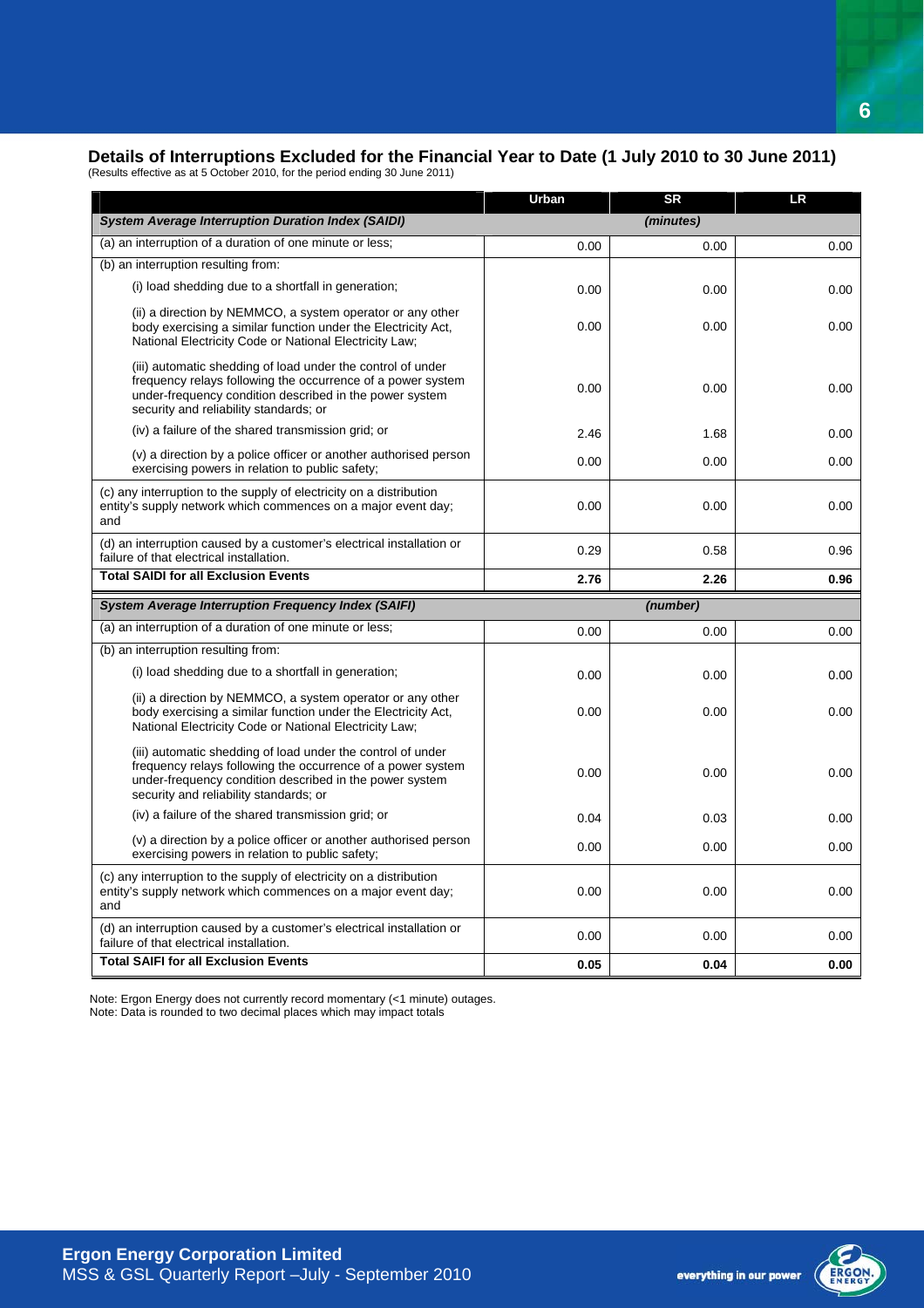#### **Details of Interruptions Excluded for the Financial Year to Date (1 July 2010 to 30 June 2011)**

(Results effective as at 5 October 2010, for the period ending 30 June 2011)

|                                                                                                                                                                                                                                 | Urban | <b>SR</b> | LR   |
|---------------------------------------------------------------------------------------------------------------------------------------------------------------------------------------------------------------------------------|-------|-----------|------|
| <b>System Average Interruption Duration Index (SAIDI)</b>                                                                                                                                                                       |       | (minutes) |      |
| (a) an interruption of a duration of one minute or less;                                                                                                                                                                        | 0.00  | 0.00      | 0.00 |
| (b) an interruption resulting from:                                                                                                                                                                                             |       |           |      |
| (i) load shedding due to a shortfall in generation;                                                                                                                                                                             | 0.00  | 0.00      | 0.00 |
| (ii) a direction by NEMMCO, a system operator or any other<br>body exercising a similar function under the Electricity Act,<br>National Electricity Code or National Electricity Law;                                           | 0.00  | 0.00      | 0.00 |
| (iii) automatic shedding of load under the control of under<br>frequency relays following the occurrence of a power system<br>under-frequency condition described in the power system<br>security and reliability standards; or | 0.00  | 0.00      | 0.00 |
| (iv) a failure of the shared transmission grid; or                                                                                                                                                                              | 2.46  | 1.68      | 0.00 |
| (v) a direction by a police officer or another authorised person<br>exercising powers in relation to public safety;                                                                                                             | 0.00  | 0.00      | 0.00 |
| (c) any interruption to the supply of electricity on a distribution<br>entity's supply network which commences on a major event day;<br>and                                                                                     | 0.00  | 0.00      | 0.00 |
| (d) an interruption caused by a customer's electrical installation or<br>failure of that electrical installation.                                                                                                               | 0.29  | 0.58      | 0.96 |
| <b>Total SAIDI for all Exclusion Events</b>                                                                                                                                                                                     | 2.76  | 2.26      | 0.96 |
| <b>System Average Interruption Frequency Index (SAIFI)</b>                                                                                                                                                                      |       | (number)  |      |
| (a) an interruption of a duration of one minute or less;                                                                                                                                                                        | 0.00  | 0.00      | 0.00 |
| (b) an interruption resulting from:                                                                                                                                                                                             |       |           |      |
| (i) load shedding due to a shortfall in generation;                                                                                                                                                                             | 0.00  | 0.00      | 0.00 |
| (ii) a direction by NEMMCO, a system operator or any other<br>body exercising a similar function under the Electricity Act.<br>National Electricity Code or National Electricity Law;                                           | 0.00  | 0.00      | 0.00 |
| (iii) automatic shedding of load under the control of under<br>frequency relays following the occurrence of a power system<br>under-frequency condition described in the power system<br>security and reliability standards; or | 0.00  | 0.00      | 0.00 |
| (iv) a failure of the shared transmission grid; or                                                                                                                                                                              | 0.04  | 0.03      | 0.00 |
| (v) a direction by a police officer or another authorised person<br>exercising powers in relation to public safety;                                                                                                             | 0.00  | 0.00      | 0.00 |
| (c) any interruption to the supply of electricity on a distribution<br>entity's supply network which commences on a major event day;<br>and                                                                                     | 0.00  | 0.00      | 0.00 |
| (d) an interruption caused by a customer's electrical installation or<br>failure of that electrical installation.                                                                                                               | 0.00  | 0.00      | 0.00 |
| <b>Total SAIFI for all Exclusion Events</b>                                                                                                                                                                                     | 0.05  | 0.04      | 0.00 |

Note: Ergon Energy does not currently record momentary (<1 minute) outages. Note: Data is rounded to two decimal places which may impact totals

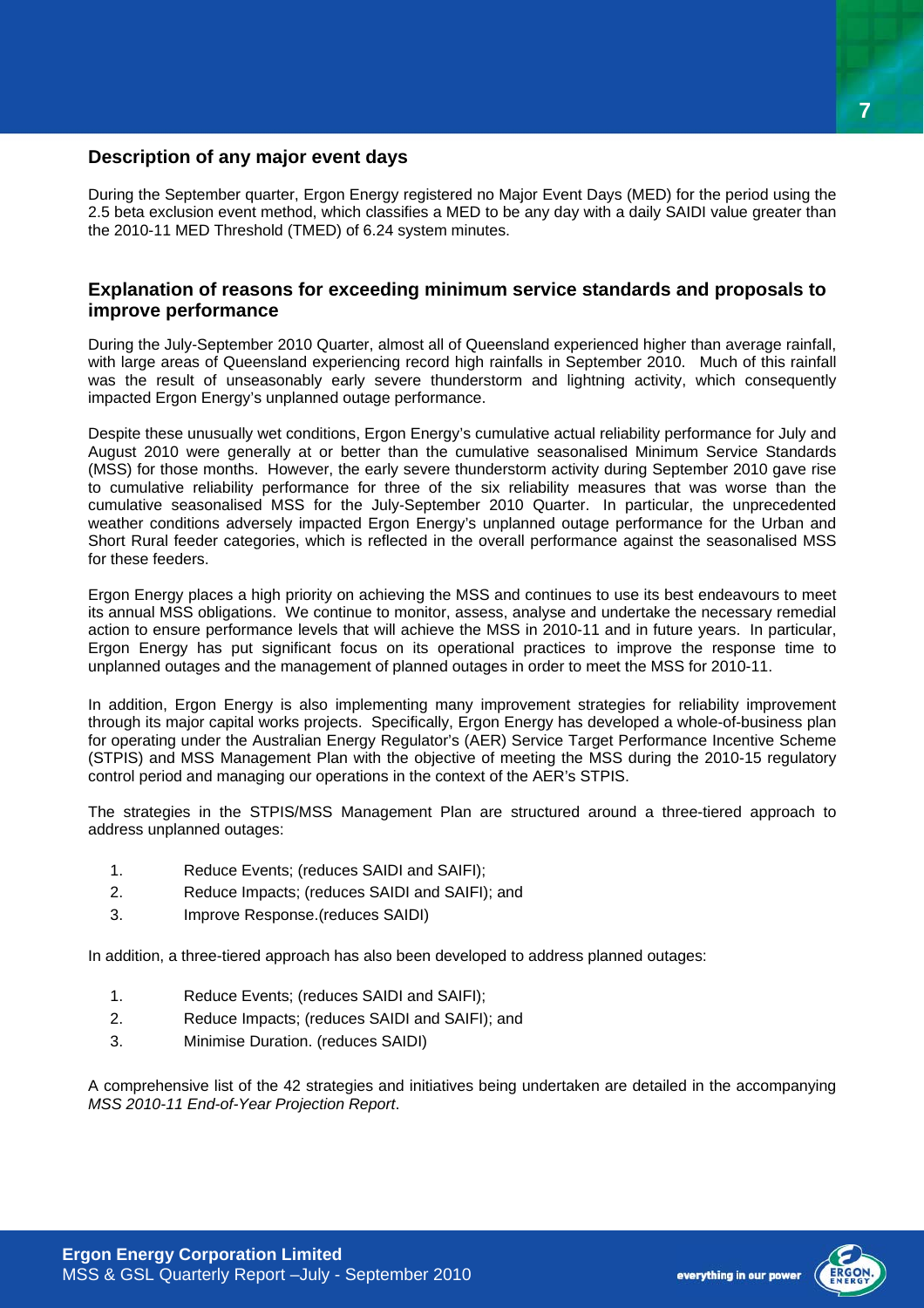### **Description of any major event days**

During the September quarter, Ergon Energy registered no Major Event Days (MED) for the period using the 2.5 beta exclusion event method, which classifies a MED to be any day with a daily SAIDI value greater than the 2010-11 MED Threshold (TMED) of 6.24 system minutes.

#### **Explanation of reasons for exceeding minimum service standards and proposals to improve performance**

During the July-September 2010 Quarter, almost all of Queensland experienced higher than average rainfall, with large areas of Queensland experiencing record high rainfalls in September 2010. Much of this rainfall was the result of unseasonably early severe thunderstorm and lightning activity, which consequently impacted Ergon Energy's unplanned outage performance.

Despite these unusually wet conditions, Ergon Energy's cumulative actual reliability performance for July and August 2010 were generally at or better than the cumulative seasonalised Minimum Service Standards (MSS) for those months. However, the early severe thunderstorm activity during September 2010 gave rise to cumulative reliability performance for three of the six reliability measures that was worse than the cumulative seasonalised MSS for the July-September 2010 Quarter. In particular, the unprecedented weather conditions adversely impacted Ergon Energy's unplanned outage performance for the Urban and Short Rural feeder categories, which is reflected in the overall performance against the seasonalised MSS for these feeders.

Ergon Energy places a high priority on achieving the MSS and continues to use its best endeavours to meet its annual MSS obligations. We continue to monitor, assess, analyse and undertake the necessary remedial action to ensure performance levels that will achieve the MSS in 2010-11 and in future years. In particular, Ergon Energy has put significant focus on its operational practices to improve the response time to unplanned outages and the management of planned outages in order to meet the MSS for 2010-11.

In addition, Ergon Energy is also implementing many improvement strategies for reliability improvement through its major capital works projects. Specifically, Ergon Energy has developed a whole-of-business plan for operating under the Australian Energy Regulator's (AER) Service Target Performance Incentive Scheme (STPIS) and MSS Management Plan with the objective of meeting the MSS during the 2010-15 regulatory control period and managing our operations in the context of the AER's STPIS.

The strategies in the STPIS/MSS Management Plan are structured around a three-tiered approach to address unplanned outages:

- 1. Reduce Events; (reduces SAIDI and SAIFI);
- 2. Reduce Impacts; (reduces SAIDI and SAIFI); and
- 3. Improve Response.(reduces SAIDI)

In addition, a three-tiered approach has also been developed to address planned outages:

- 1. Reduce Events; (reduces SAIDI and SAIFI);
- 2. Reduce Impacts; (reduces SAIDI and SAIFI); and
- 3. Minimise Duration. (reduces SAIDI)

A comprehensive list of the 42 strategies and initiatives being undertaken are detailed in the accompanying *MSS 2010-11 End-of-Year Projection Report*.

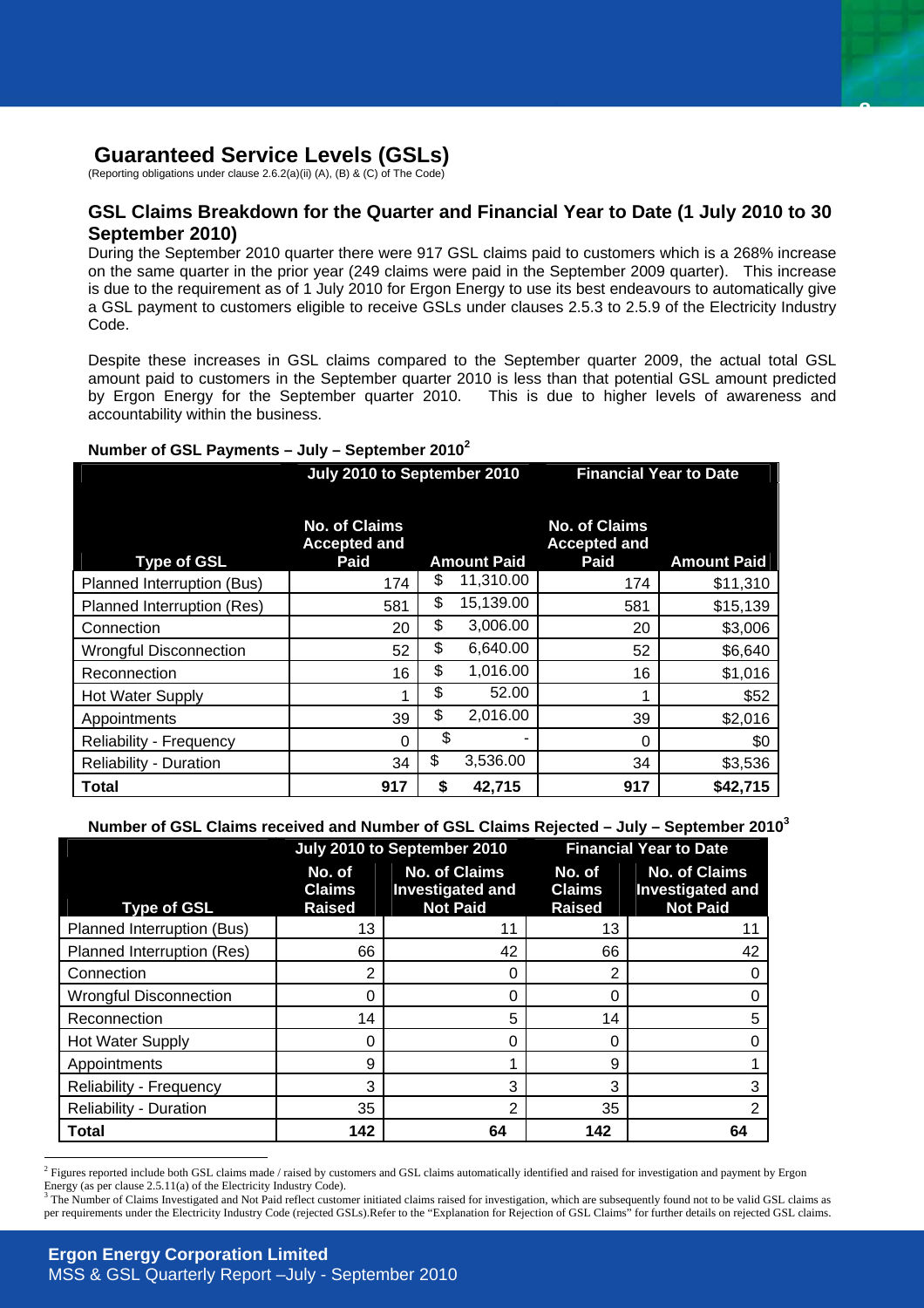# **Guaranteed Service Levels (GSLs)**

(Reporting obligations under clause 2.6.2(a)(ii) (A), (B) & (C) of The Code)

#### **GSL Claims Breakdown for the Quarter and Financial Year to Date (1 July 2010 to 30 September 2010)**

**8**

During the September 2010 quarter there were 917 GSL claims paid to customers which is a 268% increase on the same quarter in the prior year (249 claims were paid in the September 2009 quarter). This increase is due to the requirement as of 1 July 2010 for Ergon Energy to use its best endeavours to automatically give a GSL payment to customers eligible to receive GSLs under clauses 2.5.3 to 2.5.9 of the Electricity Industry Code.

Despite these increases in GSL claims compared to the September quarter 2009, the actual total GSL amount paid to customers in the September quarter 2010 is less than that potential GSL amount predicted by Ergon Energy for the September quarter 2010. This is due to higher levels of awareness and accountability within the business.

#### **Number of GSL Payments – July – September 2010<sup>2</sup>**

|                                | July 2010 to September 2010                         |    |                    | <b>Financial Year to Date</b>                       |                    |
|--------------------------------|-----------------------------------------------------|----|--------------------|-----------------------------------------------------|--------------------|
| <b>Type of GSL</b>             | <b>No. of Claims</b><br><b>Accepted and</b><br>Paid |    | <b>Amount Paid</b> | <b>No. of Claims</b><br><b>Accepted and</b><br>Paid | <b>Amount Paid</b> |
| Planned Interruption (Bus)     | 174                                                 | \$ | 11,310.00          | 174                                                 | \$11,310           |
| Planned Interruption (Res)     | 581                                                 | \$ | 15,139.00          | 581                                                 | \$15,139           |
| Connection                     | 20                                                  | \$ | 3,006.00           | 20                                                  | \$3,006            |
| <b>Wrongful Disconnection</b>  | 52                                                  | \$ | 6,640.00           | 52                                                  | \$6,640            |
| Reconnection                   | 16                                                  | \$ | 1,016.00           | 16                                                  | \$1,016            |
| <b>Hot Water Supply</b>        |                                                     | \$ | 52.00              |                                                     | \$52               |
| Appointments                   | 39                                                  | \$ | 2,016.00           | 39                                                  | \$2,016            |
| <b>Reliability - Frequency</b> | 0                                                   | \$ |                    | 0                                                   | \$0                |
| <b>Reliability - Duration</b>  | 34                                                  | \$ | 3,536.00           | 34                                                  | \$3,536            |
| <b>Total</b>                   | 917                                                 | \$ | 42,715             | 917                                                 | \$42,715           |

**Number of GSL Claims received and Number of GSL Claims Rejected – July – September 2010<sup>3</sup>**

|                                | July 2010 to September 2010              |                                                                    | <b>Financial Year to Date</b>            |                                                                    |  |
|--------------------------------|------------------------------------------|--------------------------------------------------------------------|------------------------------------------|--------------------------------------------------------------------|--|
| <b>Type of GSL</b>             | No. of<br><b>Claims</b><br><b>Raised</b> | <b>No. of Claims</b><br><b>Investigated and</b><br><b>Not Paid</b> | No. of<br><b>Claims</b><br><b>Raised</b> | <b>No. of Claims</b><br><b>Investigated and</b><br><b>Not Paid</b> |  |
| Planned Interruption (Bus)     | 13                                       | 11                                                                 | 13                                       | 11                                                                 |  |
| Planned Interruption (Res)     | 66                                       | 42                                                                 | 66                                       | 42                                                                 |  |
| Connection                     | 2                                        | 0                                                                  | 2                                        | 0                                                                  |  |
| <b>Wrongful Disconnection</b>  | ი                                        | 0                                                                  | Ω                                        |                                                                    |  |
| Reconnection                   | 14                                       | 5                                                                  | 14                                       | 5                                                                  |  |
| <b>Hot Water Supply</b>        | 0                                        | 0                                                                  | 0                                        | ი                                                                  |  |
| Appointments                   | 9                                        | 1                                                                  | 9                                        |                                                                    |  |
| <b>Reliability - Frequency</b> | 3                                        | 3                                                                  | 3                                        | 3                                                                  |  |
| <b>Reliability - Duration</b>  | 35                                       | 2                                                                  | 35                                       | 2                                                                  |  |
| <b>Total</b>                   | 142                                      | 64                                                                 | 142                                      | 64                                                                 |  |

<sup>2</sup> Figures reported include both GSL claims made / raised by customers and GSL claims automatically identified and raised for investigation and payment by Ergon Energy (as per clause 2.5.11(a) of the Electricity Industry Code).<br><sup>3</sup> The Number of Claims Investigated and Not Paid reflect customer initiated claims raised for investigation, which are subsequently found not to be valid

per requirements under the Electricity Industry Code (rejected GSLs).Refer to the "Explanation for Rejection of GSL Claims" for further details on rejected GSL claims.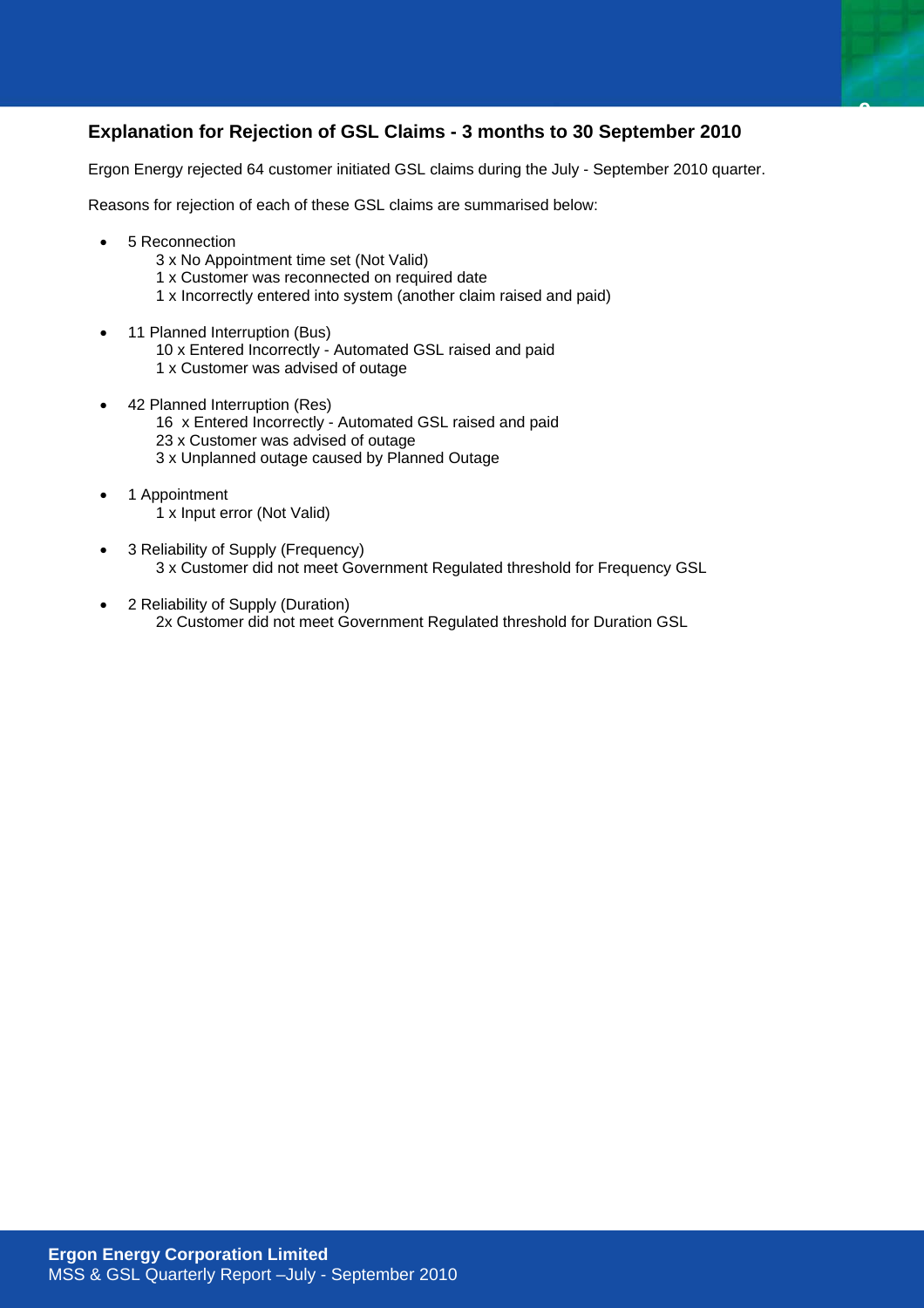## **Explanation for Rejection of GSL Claims - 3 months to 30 September 2010**

Ergon Energy rejected 64 customer initiated GSL claims during the July - September 2010 quarter.

**9**

Reasons for rejection of each of these GSL claims are summarised below:

- 5 Reconnection
	- 3 x No Appointment time set (Not Valid)
	- 1 x Customer was reconnected on required date
	- 1 x Incorrectly entered into system (another claim raised and paid)
	- 11 Planned Interruption (Bus) 10 x Entered Incorrectly - Automated GSL raised and paid 1 x Customer was advised of outage
- 42 Planned Interruption (Res) 16 x Entered Incorrectly - Automated GSL raised and paid 23 x Customer was advised of outage 3 x Unplanned outage caused by Planned Outage
- 1 Appointment 1 x Input error (Not Valid)
- 3 Reliability of Supply (Frequency) 3 x Customer did not meet Government Regulated threshold for Frequency GSL
- 2 Reliability of Supply (Duration) 2x Customer did not meet Government Regulated threshold for Duration GSL